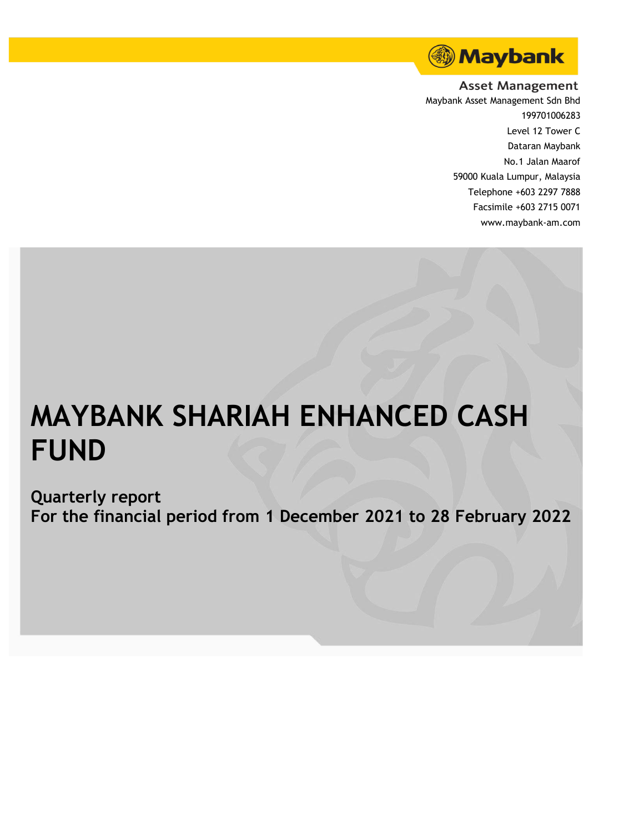

# **Asset Management** Maybank Asset Management Sdn Bhd 199701006283 Level 12 Tower C Dataran Maybank No.1 Jalan Maarof 59000 Kuala Lumpur, Malaysia Telephone +603 2297 7888 Facsimile +603 2715 0071

www.maybank-am.com

# **MAYBANK SHARIAH ENHANCED CASH FUND**

**Quarterly report For the financial period from 1 December 2021 to 28 February 2022**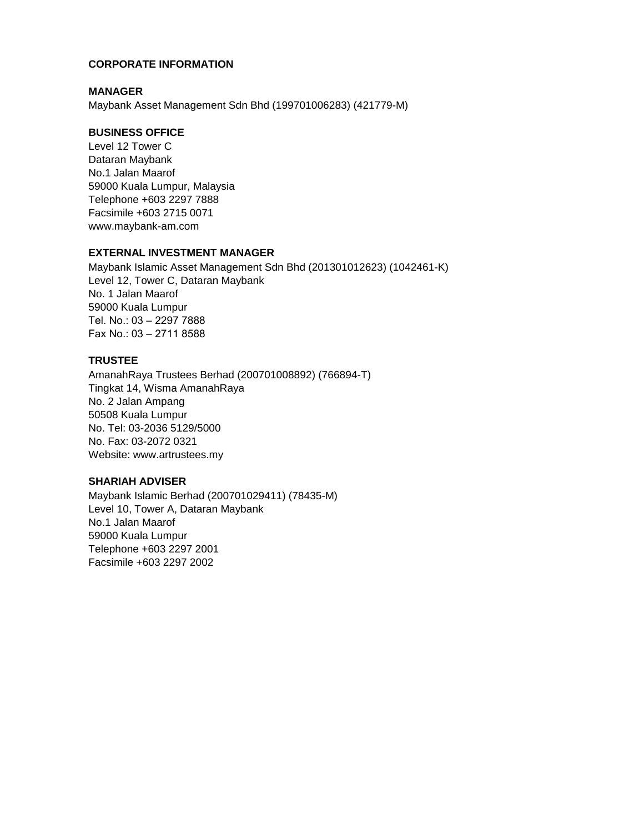## **CORPORATE INFORMATION**

#### **MANAGER**

Maybank Asset Management Sdn Bhd (199701006283) (421779-M)

## **BUSINESS OFFICE**

Level 12 Tower C Dataran Maybank No.1 Jalan Maarof 59000 Kuala Lumpur, Malaysia Telephone +603 2297 7888 Facsimile +603 2715 0071 www.maybank-am.com

## **EXTERNAL INVESTMENT MANAGER**

Maybank Islamic Asset Management Sdn Bhd (201301012623) (1042461-K) Level 12, Tower C, Dataran Maybank No. 1 Jalan Maarof 59000 Kuala Lumpur Tel. No.: 03 – 2297 7888 Fax No.: 03 – 2711 8588

# **TRUSTEE**

AmanahRaya Trustees Berhad (200701008892) (766894-T) Tingkat 14, Wisma AmanahRaya No. 2 Jalan Ampang 50508 Kuala Lumpur No. Tel: 03-2036 5129/5000 No. Fax: 03-2072 0321 Website: www.artrustees.my

## **SHARIAH ADVISER**

Maybank Islamic Berhad (200701029411) (78435-M) Level 10, Tower A, Dataran Maybank No.1 Jalan Maarof 59000 Kuala Lumpur Telephone +603 2297 2001 Facsimile +603 2297 2002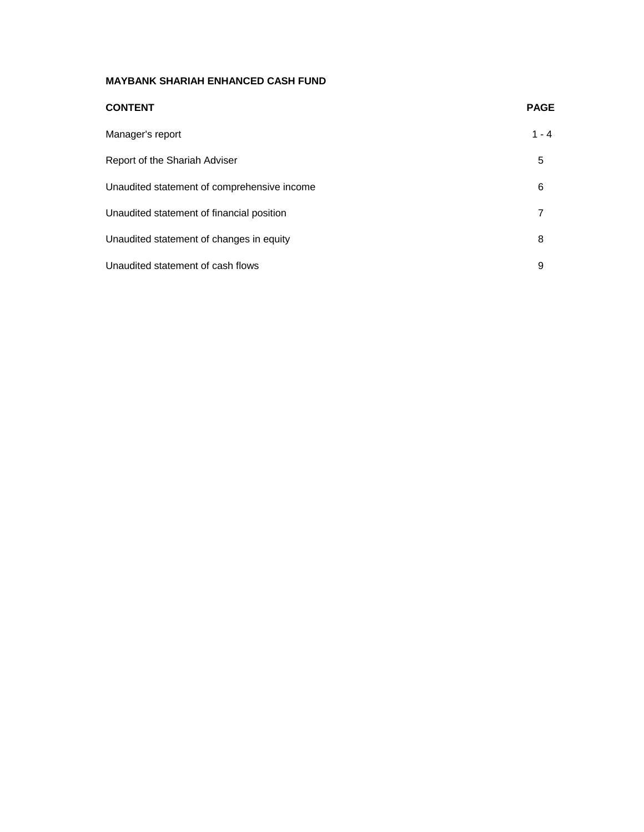| <b>CONTENT</b>                              | <b>PAGE</b> |
|---------------------------------------------|-------------|
| Manager's report                            | $1 - 4$     |
| Report of the Shariah Adviser               | 5           |
| Unaudited statement of comprehensive income | 6           |
| Unaudited statement of financial position   | 7           |
| Unaudited statement of changes in equity    | 8           |
| Unaudited statement of cash flows           | 9           |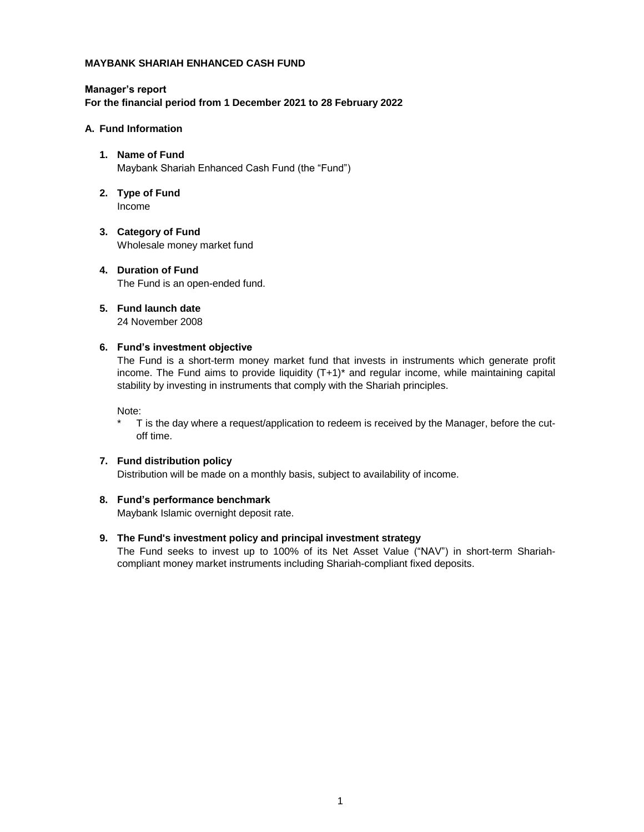## **Manager's report For the financial period from 1 December 2021 to 28 February 2022**

## **A. Fund Information**

- **1. Name of Fund** Maybank Shariah Enhanced Cash Fund (the "Fund")
- **2. Type of Fund** Income
- **3. Category of Fund** Wholesale money market fund
- **4. Duration of Fund** The Fund is an open-ended fund.
- **5. Fund launch date** 24 November 2008

## **6. Fund's investment objective**

The Fund is a short-term money market fund that invests in instruments which generate profit income. The Fund aims to provide liquidity (T+1)\* and regular income, while maintaining capital stability by investing in instruments that comply with the Shariah principles.

Note:

\*

T is the day where a request/application to redeem is received by the Manager, before the cutoff time.

#### **7. Fund distribution policy**

Distribution will be made on a monthly basis, subject to availability of income.

# **8. Fund's performance benchmark**

Maybank Islamic overnight deposit rate.

# **9. The Fund's investment policy and principal investment strategy**

The Fund seeks to invest up to 100% of its Net Asset Value ("NAV") in short-term Shariahcompliant money market instruments including Shariah-compliant fixed deposits.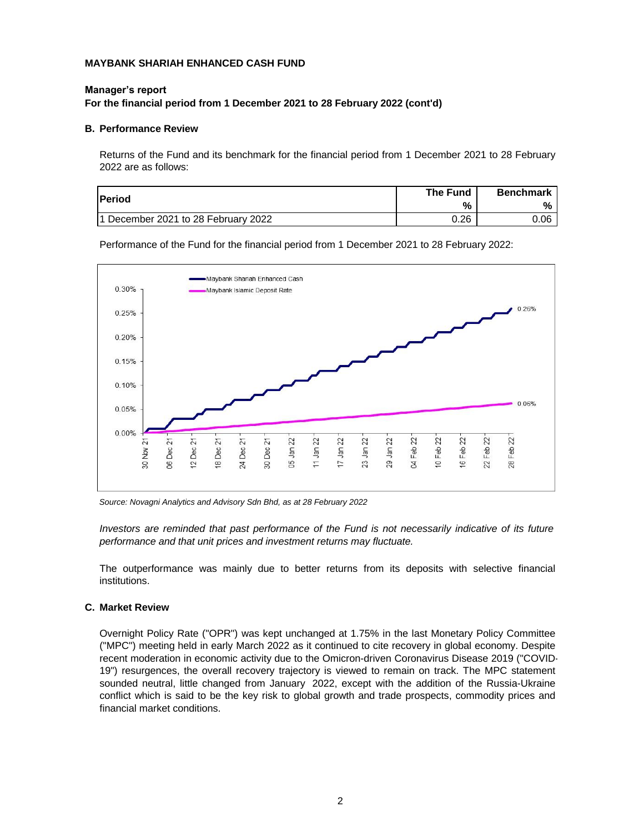#### **Manager's report**

**For the financial period from 1 December 2021 to 28 February 2022 (cont'd)**

#### **B. Performance Review**

Returns of the Fund and its benchmark for the financial period from 1 December 2021 to 28 February 2022 are as follows:

| <b>Period</b>                       | The Fund | <b>Benchmark</b> |
|-------------------------------------|----------|------------------|
|                                     | %        | %                |
| 1 December 2021 to 28 February 2022 | 0.26     | 0.06             |

Performance of the Fund for the financial period from 1 December 2021 to 28 February 2022:



*Source: Novagni Analytics and Advisory Sdn Bhd, as at 28 February 2022*

*Investors are reminded that past performance of the Fund is not necessarily indicative of its future performance and that unit prices and investment returns may fluctuate.*

The outperformance was mainly due to better returns from its deposits with selective financial institutions.

#### **C. Market Review**

Overnight Policy Rate ("OPR") was kept unchanged at 1.75% in the last Monetary Policy Committee ("MPC") meeting held in early March 2022 as it continued to cite recovery in global economy. Despite recent moderation in economic activity due to the Omicron-driven Coronavirus Disease 2019 ("COVID-19") resurgences, the overall recovery trajectory is viewed to remain on track. The MPC statement sounded neutral, little changed from January 2022, except with the addition of the Russia-Ukraine conflict which is said to be the key risk to global growth and trade prospects, commodity prices and financial market conditions.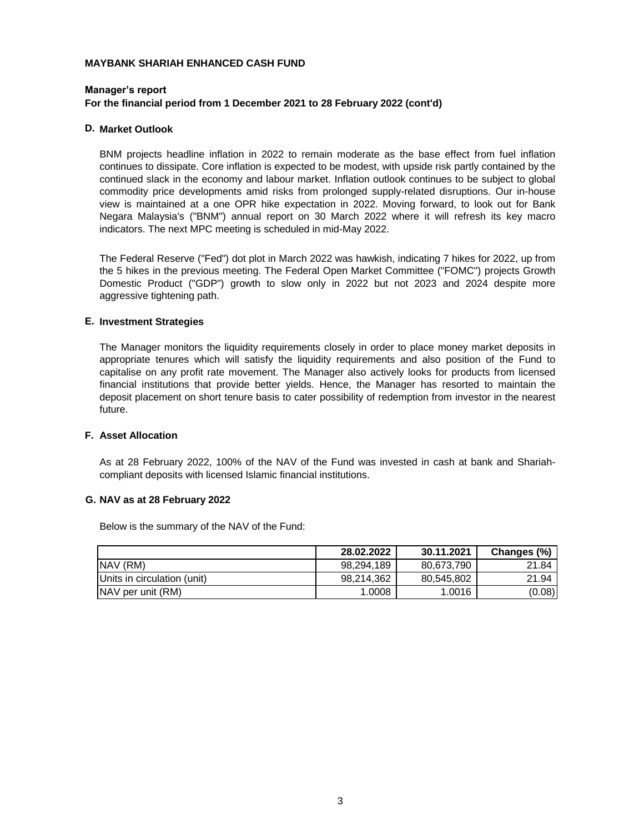#### **Manager's report For the financial period from 1 December 2021 to 28 February 2022 (cont'd)**

#### **D. Market Outlook**

BNM projects headline inflation in 2022 to remain moderate as the base effect from fuel inflation continues to dissipate. Core inflation is expected to be modest, with upside risk partly contained by the continued slack in the economy and labour market. Inflation outlook continues to be subject to global commodity price developments amid risks from prolonged supply-related disruptions. Our in-house view is maintained at a one OPR hike expectation in 2022. Moving forward, to look out for Bank Negara Malaysia's ("BNM") annual report on 30 March 2022 where it will refresh its key macro indicators. The next MPC meeting is scheduled in mid-May 2022.

The Federal Reserve ("Fed") dot plot in March 2022 was hawkish, indicating 7 hikes for 2022, up from the 5 hikes in the previous meeting. The Federal Open Market Committee ("FOMC") projects Growth Domestic Product ("GDP") growth to slow only in 2022 but not 2023 and 2024 despite more aggressive tightening path.

#### **E. Investment Strategies**

The Manager monitors the liquidity requirements closely in order to place money market deposits in appropriate tenures which will satisfy the liquidity requirements and also position of the Fund to capitalise on any profit rate movement. The Manager also actively looks for products from licensed financial institutions that provide better yields. Hence, the Manager has resorted to maintain the deposit placement on short tenure basis to cater possibility of redemption from investor in the nearest future.

#### **F. Asset Allocation**

As at 28 February 2022, 100% of the NAV of the Fund was invested in cash at bank and Shariahcompliant deposits with licensed Islamic financial institutions.

#### **G. NAV as at 28 February 2022**

Below is the summary of the NAV of the Fund:

|                             | 28.02.2022 | 30.11.2021 | Changes (%) |
|-----------------------------|------------|------------|-------------|
| INAV (RM)                   | 98.294.189 | 80.673.790 | 21.84       |
| Units in circulation (unit) | 98.214.362 | 80,545,802 | 21.94       |
| NAV per unit (RM)           | 1.0008     | 1.0016     | (0.08)      |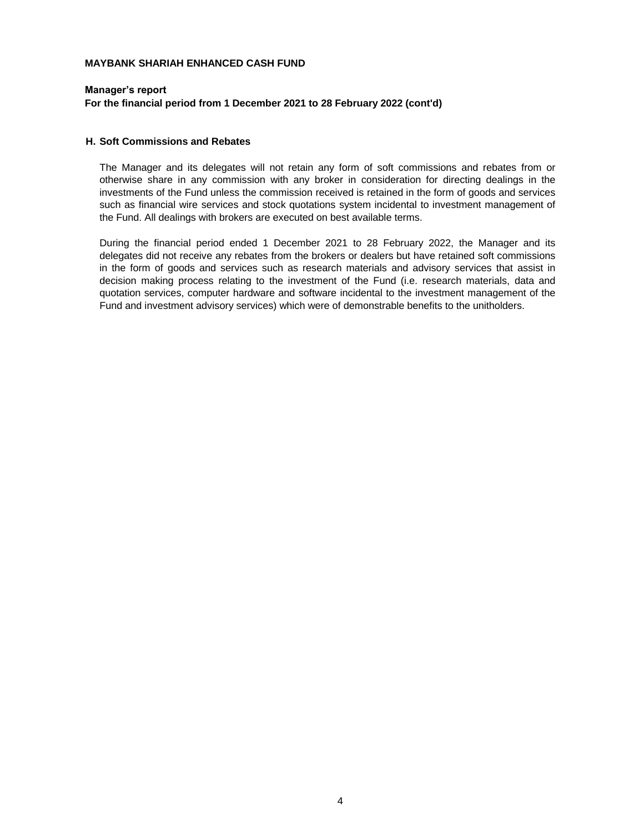## **Manager's report For the financial period from 1 December 2021 to 28 February 2022 (cont'd)**

#### **H. Soft Commissions and Rebates**

The Manager and its delegates will not retain any form of soft commissions and rebates from or otherwise share in any commission with any broker in consideration for directing dealings in the investments of the Fund unless the commission received is retained in the form of goods and services such as financial wire services and stock quotations system incidental to investment management of the Fund. All dealings with brokers are executed on best available terms.

During the financial period ended 1 December 2021 to 28 February 2022, the Manager and its delegates did not receive any rebates from the brokers or dealers but have retained soft commissions in the form of goods and services such as research materials and advisory services that assist in decision making process relating to the investment of the Fund (i.e. research materials, data and quotation services, computer hardware and software incidental to the investment management of the Fund and investment advisory services) which were of demonstrable benefits to the unitholders.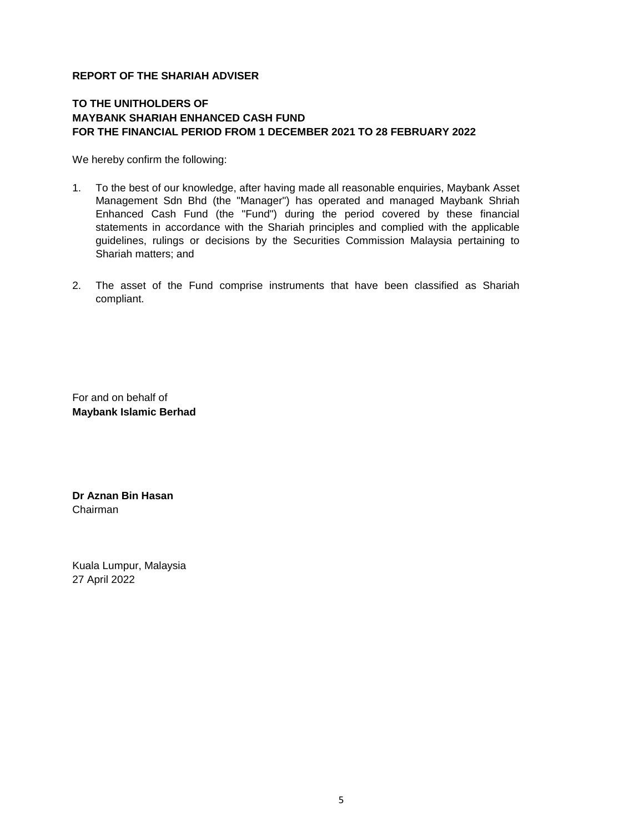# **REPORT OF THE SHARIAH ADVISER**

# **TO THE UNITHOLDERS OF MAYBANK SHARIAH ENHANCED CASH FUND FOR THE FINANCIAL PERIOD FROM 1 DECEMBER 2021 TO 28 FEBRUARY 2022**

We hereby confirm the following:

- 1. To the best of our knowledge, after having made all reasonable enquiries, Maybank Asset Management Sdn Bhd (the "Manager") has operated and managed Maybank Shriah Enhanced Cash Fund (the "Fund") during the period covered by these financial statements in accordance with the Shariah principles and complied with the applicable guidelines, rulings or decisions by the Securities Commission Malaysia pertaining to Shariah matters; and
- 2. The asset of the Fund comprise instruments that have been classified as Shariah compliant.

For and on behalf of **Maybank Islamic Berhad**

**Dr Aznan Bin Hasan** Chairman

Kuala Lumpur, Malaysia 27 April 2022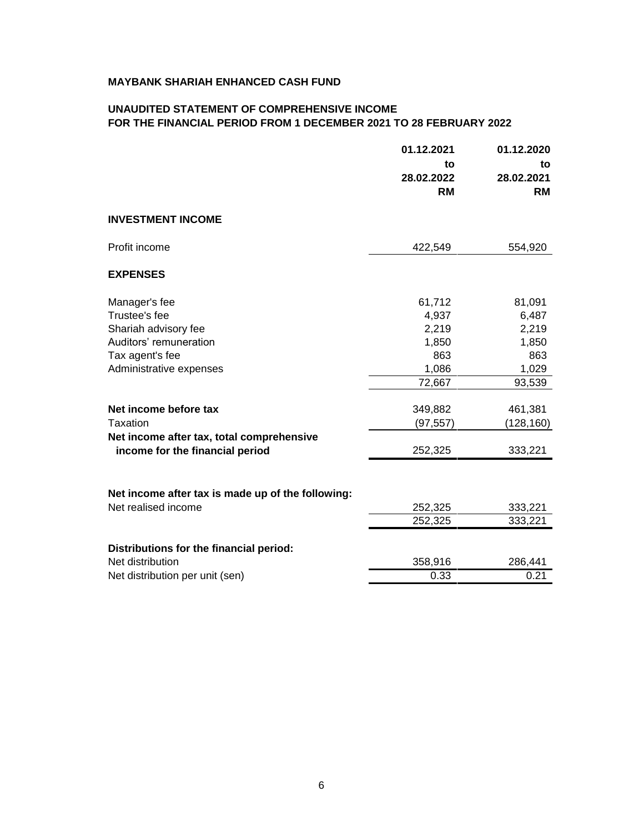# **UNAUDITED STATEMENT OF COMPREHENSIVE INCOME FOR THE FINANCIAL PERIOD FROM 1 DECEMBER 2021 TO 28 FEBRUARY 2022**

|                                                                                                                          | 01.12.2021<br>to<br>28.02.2022<br><b>RM</b> | 01.12.2020<br>to<br>28.02.2021<br><b>RM</b> |
|--------------------------------------------------------------------------------------------------------------------------|---------------------------------------------|---------------------------------------------|
| <b>INVESTMENT INCOME</b>                                                                                                 |                                             |                                             |
| Profit income                                                                                                            | 422,549                                     | 554,920                                     |
| <b>EXPENSES</b>                                                                                                          |                                             |                                             |
| Manager's fee<br>Trustee's fee<br>Shariah advisory fee<br>Auditors' remuneration<br>Tax agent's fee                      | 61,712<br>4,937<br>2,219<br>1,850<br>863    | 81,091<br>6,487<br>2,219<br>1,850<br>863    |
| Administrative expenses                                                                                                  | 1,086<br>72,667                             | 1,029<br>93,539                             |
| Net income before tax<br><b>Taxation</b><br>Net income after tax, total comprehensive<br>income for the financial period | 349,882<br>(97, 557)<br>252,325             | 461,381<br>(128, 160)<br>333,221            |
| Net income after tax is made up of the following:<br>Net realised income                                                 | 252,325<br>252,325                          | 333,221<br>333,221                          |
| Distributions for the financial period:<br>Net distribution<br>Net distribution per unit (sen)                           | 358,916<br>0.33                             | 286,441<br>0.21                             |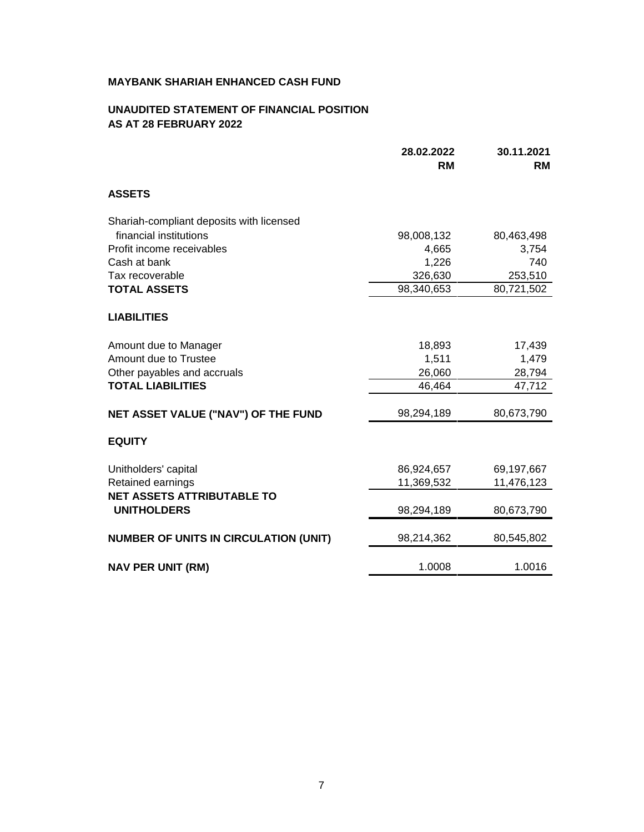# **UNAUDITED STATEMENT OF FINANCIAL POSITION AS AT 28 FEBRUARY 2022**

|                                                         | 28.02.2022<br><b>RM</b> | 30.11.2021<br><b>RM</b> |
|---------------------------------------------------------|-------------------------|-------------------------|
| <b>ASSETS</b>                                           |                         |                         |
| Shariah-compliant deposits with licensed                |                         |                         |
| financial institutions                                  | 98,008,132              | 80,463,498              |
| Profit income receivables                               | 4,665                   | 3,754                   |
| Cash at bank                                            | 1,226                   | 740                     |
| Tax recoverable                                         | 326,630                 | 253,510                 |
| <b>TOTAL ASSETS</b>                                     | 98,340,653              | 80,721,502              |
| <b>LIABILITIES</b>                                      |                         |                         |
| Amount due to Manager                                   | 18,893                  | 17,439                  |
| Amount due to Trustee                                   | 1,511                   | 1,479                   |
| Other payables and accruals                             | 26,060                  | 28,794                  |
| <b>TOTAL LIABILITIES</b>                                | 46,464                  | 47,712                  |
| NET ASSET VALUE ("NAV") OF THE FUND                     | 98,294,189              | 80,673,790              |
| <b>EQUITY</b>                                           |                         |                         |
| Unitholders' capital                                    | 86,924,657              | 69,197,667              |
| Retained earnings                                       | 11,369,532              | 11,476,123              |
| <b>NET ASSETS ATTRIBUTABLE TO</b><br><b>UNITHOLDERS</b> | 98,294,189              | 80,673,790              |
| <b>NUMBER OF UNITS IN CIRCULATION (UNIT)</b>            | 98,214,362              | 80,545,802              |
| <b>NAV PER UNIT (RM)</b>                                | 1.0008                  | 1.0016                  |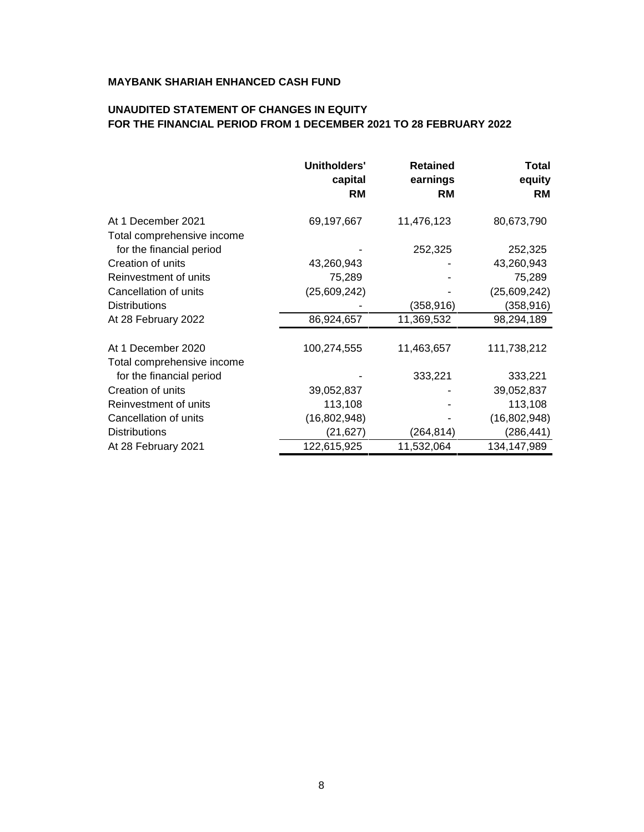# **UNAUDITED STATEMENT OF CHANGES IN EQUITY FOR THE FINANCIAL PERIOD FROM 1 DECEMBER 2021 TO 28 FEBRUARY 2022**

|                                                  | Unitholders'<br>capital<br><b>RM</b> | <b>Retained</b><br>earnings<br><b>RM</b> | Total<br>equity<br><b>RM</b> |
|--------------------------------------------------|--------------------------------------|------------------------------------------|------------------------------|
| At 1 December 2021<br>Total comprehensive income | 69,197,667                           | 11,476,123                               | 80,673,790                   |
| for the financial period                         |                                      | 252,325                                  | 252,325                      |
| Creation of units                                | 43,260,943                           |                                          | 43,260,943                   |
| Reinvestment of units                            | 75,289                               |                                          | 75,289                       |
| Cancellation of units                            | (25,609,242)                         |                                          | (25,609,242)                 |
| <b>Distributions</b>                             |                                      | (358, 916)                               | (358, 916)                   |
| At 28 February 2022                              | 86,924,657                           | 11,369,532                               | 98,294,189                   |
| At 1 December 2020<br>Total comprehensive income | 100,274,555                          | 11,463,657                               | 111,738,212                  |
| for the financial period                         |                                      | 333,221                                  | 333,221                      |
| Creation of units                                | 39,052,837                           |                                          | 39,052,837                   |
| Reinvestment of units                            | 113,108                              |                                          | 113,108                      |
| Cancellation of units                            | (16,802,948)                         |                                          | (16,802,948)                 |
| <b>Distributions</b>                             | (21, 627)                            | (264,814)                                | (286, 441)                   |
| At 28 February 2021                              | 122,615,925                          | 11,532,064                               | 134,147,989                  |